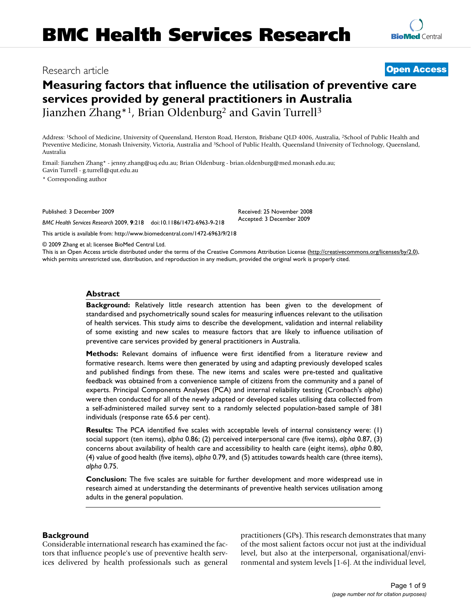## Research article **[Open Access](http://www.biomedcentral.com/info/about/charter/)**

# **Measuring factors that influence the utilisation of preventive care services provided by general practitioners in Australia** Jianzhen Zhang\*1, Brian Oldenburg2 and Gavin Turrell3

Address: 1School of Medicine, University of Queensland, Herston Road, Herston, Brisbane QLD 4006, Australia, 2School of Public Health and Preventive Medicine, Monash University, Victoria, Australia and <sup>3</sup>School of Public Health, Queensland University of Technology, Queensland, Australia

Email: Jianzhen Zhang\* - jenny.zhang@uq.edu.au; Brian Oldenburg - brian.oldenburg@med.monash.edu.au; Gavin Turrell - g.turrell@qut.edu.au

\* Corresponding author

Published: 3 December 2009

*BMC Health Services Research* 2009, **9**:218 doi:10.1186/1472-6963-9-218 [This article is available from: http://www.biomedcentral.com/1472-6963/9/218](http://www.biomedcentral.com/1472-6963/9/218)

Received: 25 November 2008 Accepted: 3 December 2009

© 2009 Zhang et al; licensee BioMed Central Ltd.

This is an Open Access article distributed under the terms of the Creative Commons Attribution License [\(http://creativecommons.org/licenses/by/2.0\)](http://creativecommons.org/licenses/by/2.0), which permits unrestricted use, distribution, and reproduction in any medium, provided the original work is properly cited.

## **Abstract**

**Background:** Relatively little research attention has been given to the development of standardised and psychometrically sound scales for measuring influences relevant to the utilisation of health services. This study aims to describe the development, validation and internal reliability of some existing and new scales to measure factors that are likely to influence utilisation of preventive care services provided by general practitioners in Australia.

**Methods:** Relevant domains of influence were first identified from a literature review and formative research. Items were then generated by using and adapting previously developed scales and published findings from these. The new items and scales were pre-tested and qualitative feedback was obtained from a convenience sample of citizens from the community and a panel of experts. Principal Components Analyses (PCA) and internal reliability testing (Cronbach's *alpha*) were then conducted for all of the newly adapted or developed scales utilising data collected from a self-administered mailed survey sent to a randomly selected population-based sample of 381 individuals (response rate 65.6 per cent).

**Results:** The PCA identified five scales with acceptable levels of internal consistency were: (1) social support (ten items), *alpha* 0.86; (2) perceived interpersonal care (five items), *alpha* 0.87, (3) concerns about availability of health care and accessibility to health care (eight items), *alpha* 0.80, (4) value of good health (five items), *alpha* 0.79, and (5) attitudes towards health care (three items), *alpha* 0.75.

**Conclusion:** The five scales are suitable for further development and more widespread use in research aimed at understanding the determinants of preventive health services utilisation among adults in the general population.

## **Background**

Considerable international research has examined the factors that influence people's use of preventive health services delivered by health professionals such as general practitioners (GPs). This research demonstrates that many of the most salient factors occur not just at the individual level, but also at the interpersonal, organisational/environmental and system levels [\[1-](#page-7-0)[6](#page-7-1)]. At the individual level,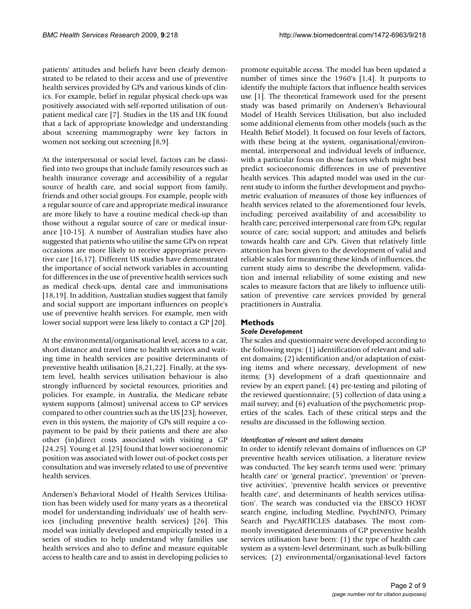patients' attitudes and beliefs have been clearly demonstrated to be related to their access and use of preventive health services provided by GPs and various kinds of clinics. For example, belief in regular physical check-ups was positively associated with self-reported utilisation of outpatient medical care [\[7\]](#page-7-2). Studies in the US and UK found that a lack of appropriate knowledge and understanding about screening mammography were key factors in women not seeking out screening [\[8,](#page-7-3)[9\]](#page-7-4).

At the interpersonal or social level, factors can be classified into two groups that include family resources such as health insurance coverage and accessibility of a regular source of health care, and social support from family, friends and other social groups. For example, people with a regular source of care and appropriate medical insurance are more likely to have a routine medical check-up than those without a regular source of care or medical insurance [\[10](#page-7-5)[-15](#page-7-6)]. A number of Australian studies have also suggested that patients who utilise the same GPs on repeat occasions are more likely to receive appropriate preventive care [[16,](#page-7-7)[17\]](#page-8-0). Different US studies have demonstrated the importance of social network variables in accounting for differences in the use of preventive health services such as medical check-ups, dental care and immunisations [[18](#page-8-1),[19\]](#page-8-2). In addition, Australian studies suggest that family and social support are important influences on people's use of preventive health services. For example, men with lower social support were less likely to contact a GP [\[20\]](#page-8-3).

At the environmental/organisational level, access to a car, short distance and travel time to health services and waiting time in health services are positive determinants of preventive health utilisation [[8](#page-7-3),[21,](#page-8-4)[22](#page-8-5)]. Finally, at the system level, health services utilisation behaviour is also strongly influenced by societal resources, priorities and policies. For example, in Australia, the Medicare rebate system supports (almost) universal access to GP services compared to other countries such as the US [\[23](#page-8-6)]; however, even in this system, the majority of GPs still require a copayment to be paid by their patients and there are also other (in)direct costs associated with visiting a GP [[24](#page-8-7),[25\]](#page-8-8). Young et al. [[25\]](#page-8-8) found that lower socioeconomic position was associated with lower out-of-pocket costs per consultation and was inversely related to use of preventive health services.

Andersen's Behavioral Model of Health Services Utilisation has been widely used for many years as a theoretical model for understanding individuals' use of health services (including preventive health services) [\[26](#page-8-9)]. This model was initially developed and empirically tested in a series of studies to help understand why families use health services and also to define and measure equitable access to health care and to assist in developing policies to

promote equitable access. The model has been updated a number of times since the 1960's [\[1](#page-7-0)[,4\]](#page-7-8). It purports to identify the multiple factors that influence health services use [\[1\]](#page-7-0). The theoretical framework used for the present study was based primarily on Andersen's Behavioural Model of Health Services Utilisation, but also included some additional elements from other models (such as the Health Belief Model). It focused on four levels of factors, with these being at the system, organisational/environmental, interpersonal and individual levels of influence, with a particular focus on those factors which might best predict socioeconomic differences in use of preventive health services. This adapted model was used in the current study to inform the further development and psychometric evaluation of measures of those key influences of health services related to the aforementioned four levels, including: perceived availability of and accessibility to health care; perceived interpersonal care from GPs; regular source of care; social support; and attitudes and beliefs towards health care and GPs. Given that relatively little attention has been given to the development of valid and reliable scales for measuring these kinds of influences, the current study aims to describe the development, validation and internal reliability of some existing and new scales to measure factors that are likely to influence utilisation of preventive care services provided by general practitioners in Australia.

## **Methods**

## *Scale Development*

The scales and questionnaire were developed according to the following steps: (1) identification of relevant and salient domains; (2) identification and/or adaptation of existing items and where necessary, development of new items; (3) development of a draft questionnaire and review by an expert panel; (4) pre-testing and piloting of the reviewed questionnaire; (5) collection of data using a mail survey; and (6) evaluation of the psychometric properties of the scales. Each of these critical steps and the results are discussed in the following section.

## *Identification of relevant and salient domains*

In order to identify relevant domains of influences on GP preventive health services utilisation, a literature review was conducted. The key search terms used were: 'primary health care' or 'general practice', 'prevention' or 'preventive activities', 'preventive health services or preventive health care', and determinants of health services utilisation'. The search was conducted via the EBSCO HOST search engine, including Medline, PsychINFO, Primary Search and PsycARTICLES databases. The most commonly investigated determinants of GP preventive health services utilisation have been: (1) the type of health care system as a system-level determinant, such as bulk-billing services; (2) environmental/organisational-level factors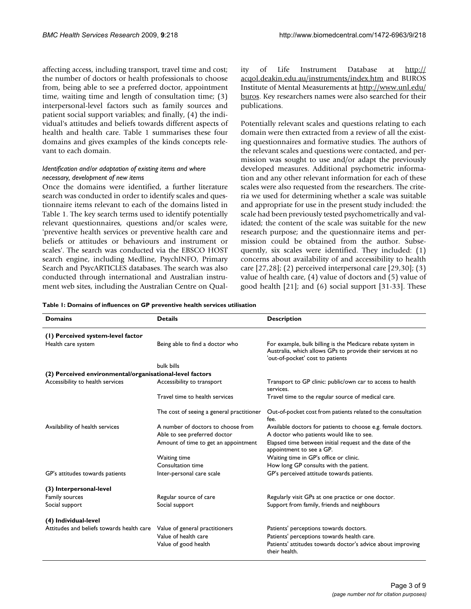affecting access, including transport, travel time and cost; the number of doctors or health professionals to choose from, being able to see a preferred doctor, appointment time, waiting time and length of consultation time; (3) interpersonal-level factors such as family sources and patient social support variables; and finally, (4) the individual's attitudes and beliefs towards different aspects of health and health care. Table [1](#page-2-0) summarises these four domains and gives examples of the kinds concepts relevant to each domain.

## *Identification and/or adaptation of existing items and where necessary, development of new items*

Once the domains were identified, a further literature search was conducted in order to identify scales and questionnaire items relevant to each of the domains listed in Table [1](#page-2-0). The key search terms used to identify potentially relevant questionnaires, questions and/or scales were, 'preventive health services or preventive health care and beliefs or attitudes or behaviours and instrument or scales'. The search was conducted via the EBSCO HOST search engine, including Medline, PsychINFO, Primary Search and PsycARTICLES databases. The search was also conducted through international and Australian instrument web sites, including the Australian Centre on Quality of Life Instrument Database at [http://](http://acqol.deakin.edu.au/instruments/index.htm) [acqol.deakin.edu.au/instruments/index.htm](http://acqol.deakin.edu.au/instruments/index.htm) and BUROS Institute of Mental Measurements at [http://www.unl.edu/](http://www.unl.edu/buros) [buros](http://www.unl.edu/buros). Key researchers names were also searched for their publications.

Potentially relevant scales and questions relating to each domain were then extracted from a review of all the existing questionnaires and formative studies. The authors of the relevant scales and questions were contacted, and permission was sought to use and/or adapt the previously developed measures. Additional psychometric information and any other relevant information for each of these scales were also requested from the researchers. The criteria we used for determining whether a scale was suitable and appropriate for use in the present study included: the scale had been previously tested psychometrically and validated; the content of the scale was suitable for the new research purpose; and the questionnaire items and permission could be obtained from the author. Subsequently, six scales were identified. They included: (1) concerns about availability of and accessibility to health care [[27,](#page-8-10)[28](#page-8-11)]; (2) perceived interpersonal care [\[29](#page-8-12)[,30](#page-8-13)]; (3) value of health care, (4) value of doctors and (5) value of good health [[21\]](#page-8-4); and (6) social support [\[31-](#page-8-14)[33\]](#page-8-15). These

<span id="page-2-0"></span>

| Table 1: Domains of influences on GP preventive health services utilisation |
|-----------------------------------------------------------------------------|
|-----------------------------------------------------------------------------|

| <b>Domains</b>                                           | <b>Details</b>                            | <b>Description</b>                                                                                                                                            |
|----------------------------------------------------------|-------------------------------------------|---------------------------------------------------------------------------------------------------------------------------------------------------------------|
| (1) Perceived system-level factor                        |                                           |                                                                                                                                                               |
| Health care system                                       | Being able to find a doctor who           | For example, bulk billing is the Medicare rebate system in<br>Australia, which allows GPs to provide their services at no<br>'out-of-pocket' cost to patients |
|                                                          | bulk bills                                |                                                                                                                                                               |
| (2) Perceived environmental/organisational-level factors |                                           |                                                                                                                                                               |
| Accessibility to health services                         | Accessibility to transport                | Transport to GP clinic: public/own car to access to health<br>services.                                                                                       |
|                                                          | Travel time to health services            | Travel time to the regular source of medical care.                                                                                                            |
|                                                          | The cost of seeing a general practitioner | Out-of-pocket cost from patients related to the consultation<br>fee.                                                                                          |
| Availability of health services                          | A number of doctors to choose from        | Available doctors for patients to choose e.g. female doctors.                                                                                                 |
|                                                          | Able to see preferred doctor              | A doctor who patients would like to see.                                                                                                                      |
|                                                          | Amount of time to get an appointment      | Elapsed time between initial request and the date of the<br>appointment to see a GP.                                                                          |
|                                                          | Waiting time                              | Waiting time in GP's office or clinic.                                                                                                                        |
|                                                          | Consultation time                         | How long GP consults with the patient.                                                                                                                        |
| GP's attitudes towards patients                          | Inter-personal care scale                 | GP's perceived attitude towards patients.                                                                                                                     |
| (3) Interpersonal-level                                  |                                           |                                                                                                                                                               |
| Family sources                                           | Regular source of care                    | Regularly visit GPs at one practice or one doctor.                                                                                                            |
| Social support                                           | Social support                            | Support from family, friends and neighbours                                                                                                                   |
| (4) Individual-level                                     |                                           |                                                                                                                                                               |
| Attitudes and beliefs towards health care                | Value of general practitioners            | Patients' perceptions towards doctors.                                                                                                                        |
|                                                          | Value of health care                      | Patients' perceptions towards health care.                                                                                                                    |
|                                                          | Value of good health                      | Patients' attitudes towards doctor's advice about improving<br>their health.                                                                                  |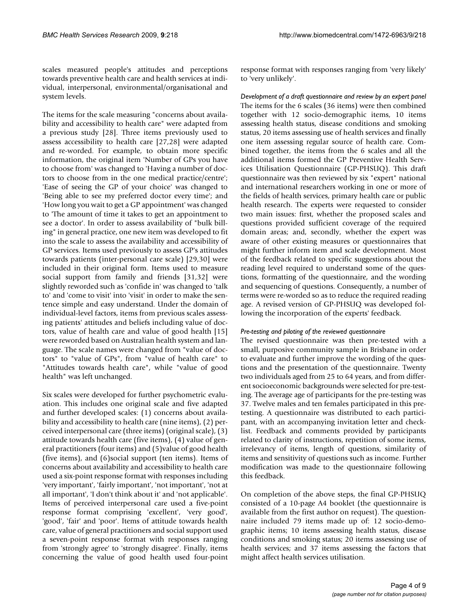scales measured people's attitudes and perceptions towards preventive health care and health services at individual, interpersonal, environmental/organisational and system levels.

The items for the scale measuring "concerns about availability and accessibility to health care" were adapted from a previous study [[28\]](#page-8-11). Three items previously used to assess accessibility to health care [\[27](#page-8-10),[28\]](#page-8-11) were adapted and re-worded. For example, to obtain more specific information, the original item 'Number of GPs you have to choose from' was changed to 'Having a number of doctors to choose from in the one medical practice/centre'; 'Ease of seeing the GP of your choice' was changed to 'Being able to see my preferred doctor every time'; and 'How long you wait to get a GP appointment' was changed to 'The amount of time it takes to get an appointment to see a doctor'. In order to assess availability of "bulk billing" in general practice, one new item was developed to fit into the scale to assess the availability and accessibility of GP services. Items used previously to assess GP's attitudes towards patients (inter-personal care scale) [[29](#page-8-12),[30\]](#page-8-13) were included in their original form. Items used to measure social support from family and friends [[31](#page-8-14)[,32](#page-8-16)] were slightly reworded such as 'confide in' was changed to 'talk to' and 'come to visit' into 'visit' in order to make the sentence simple and easy understand. Under the domain of individual-level factors, items from previous scales assessing patients' attitudes and beliefs including value of doctors, value of health care and value of good health [[15\]](#page-7-6) were reworded based on Australian health system and language. The scale names were changed from "value of doctors" to "value of GPs", from "value of health care" to "Attitudes towards health care", while "value of good health" was left unchanged.

Six scales were developed for further psychometric evaluation. This includes one original scale and five adapted and further developed scales: (1) concerns about availability and accessibility to health care (nine items), (2) perceived interpersonal care (three items) (original scale), (3) attitude towards health care (five items), (4) value of general practitioners (four items) and (5)value of good health (five items), and (6)social support (ten items). Items of concerns about availability and accessibility to health care used a six-point response format with responses including 'very important', 'fairly important', 'not important', 'not at all important', 'I don't think about it' and 'not applicable'. Items of perceived interpersonal care used a five-point response format comprising 'excellent', 'very good', 'good', 'fair' and 'poor'. Items of attitude towards health care, value of general practitioners and social support used a seven-point response format with responses ranging from 'strongly agree' to 'strongly disagree'. Finally, items concerning the value of good health used four-point

response format with responses ranging from 'very likely' to 'very unlikely'.

*Development of a draft questionnaire and review by an expert panel* The items for the 6 scales (36 items) were then combined together with 12 socio-demographic items, 10 items assessing health status, disease conditions and smoking status, 20 items assessing use of health services and finally one item assessing regular source of health care. Combined together, the items from the 6 scales and all the additional items formed the GP Preventive Health Services Utilisation Questionnaire (GP-PHSUQ). This draft questionnaire was then reviewed by six "expert" national and international researchers working in one or more of the fields of health services, primary health care or public health research. The experts were requested to consider two main issues: first, whether the proposed scales and questions provided sufficient coverage of the required domain areas; and, secondly, whether the expert was aware of other existing measures or questionnaires that might further inform item and scale development. Most of the feedback related to specific suggestions about the reading level required to understand some of the questions, formatting of the questionnaire, and the wording and sequencing of questions. Consequently, a number of terms were re-worded so as to reduce the required reading age. A revised version of GP-PHSUQ was developed following the incorporation of the experts' feedback.

## *Pre-testing and piloting of the reviewed questionnaire*

The revised questionnaire was then pre-tested with a small, purposive community sample in Brisbane in order to evaluate and further improve the wording of the questions and the presentation of the questionnaire. Twenty two individuals aged from 25 to 64 years, and from different socioeconomic backgrounds were selected for pre-testing. The average age of participants for the pre-testing was 37. Twelve males and ten females participated in this pretesting. A questionnaire was distributed to each participant, with an accompanying invitation letter and checklist. Feedback and comments provided by participants related to clarity of instructions, repetition of some items, irrelevancy of items, length of questions, similarity of items and sensitivity of questions such as income. Further modification was made to the questionnaire following this feedback.

On completion of the above steps, the final GP-PHSUQ consisted of a 10-page A4 booklet (the questionnaire is available from the first author on request). The questionnaire included 79 items made up of: 12 socio-demographic items; 10 items assessing health status, disease conditions and smoking status; 20 items assessing use of health services; and 37 items assessing the factors that might affect health services utilisation.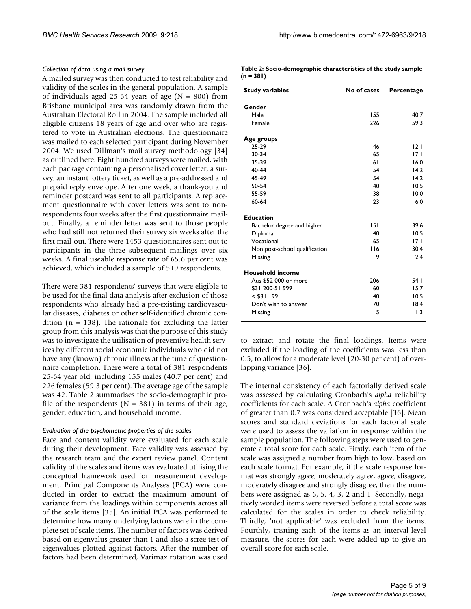#### *Collection of data using a mail survey*

A mailed survey was then conducted to test reliability and validity of the scales in the general population. A sample of individuals aged 25-64 years of age  $(N = 800)$  from Brisbane municipal area was randomly drawn from the Australian Electoral Roll in 2004. The sample included all eligible citizens 18 years of age and over who are registered to vote in Australian elections. The questionnaire was mailed to each selected participant during November 2004. We used Dillman's mail survey methodology [[34\]](#page-8-17) as outlined here. Eight hundred surveys were mailed, with each package containing a personalised cover letter, a survey, an instant lottery ticket, as well as a pre-addressed and prepaid reply envelope. After one week, a thank-you and reminder postcard was sent to all participants. A replacement questionnaire with cover letters was sent to nonrespondents four weeks after the first questionnaire mailout. Finally, a reminder letter was sent to those people who had still not returned their survey six weeks after the first mail-out. There were 1453 questionnaires sent out to participants in the three subsequent mailings over six weeks. A final useable response rate of 65.6 per cent was achieved, which included a sample of 519 respondents.

There were 381 respondents' surveys that were eligible to be used for the final data analysis after exclusion of those respondents who already had a pre-existing cardiovascular diseases, diabetes or other self-identified chronic condition ( $n = 138$ ). The rationale for excluding the latter group from this analysis was that the purpose of this study was to investigate the utilisation of preventive health services by different social economic individuals who did not have any (known) chronic illness at the time of questionnaire completion. There were a total of 381 respondents 25-64 year old, including 155 males (40.7 per cent) and 226 females (59.3 per cent). The average age of the sample was 42. Table [2](#page-4-0) summarises the socio-demographic profile of the respondents ( $N = 381$ ) in terms of their age, gender, education, and household income.

#### *Evaluation of the psychometric properties of the scales*

Face and content validity were evaluated for each scale during their development. Face validity was assessed by the research team and the expert review panel. Content validity of the scales and items was evaluated utilising the conceptual framework used for measurement development. Principal Components Analyses (PCA) were conducted in order to extract the maximum amount of variance from the loadings within components across all of the scale items [\[35](#page-8-18)]. An initial PCA was performed to determine how many underlying factors were in the complete set of scale items. The number of factors was derived based on eigenvalus greater than 1 and also a scree test of eigenvalues plotted against factors. After the number of factors had been determined, Varimax rotation was used

<span id="page-4-0"></span>**Table 2: Socio-demographic characteristics of the study sample (n = 381)**

| <b>Study variables</b>        | No of cases | Percentage       |
|-------------------------------|-------------|------------------|
| Gender                        |             |                  |
| Male                          | 155         | 40.7             |
| Female                        | 226         | 59.3             |
| Age groups                    |             |                  |
| 25-29                         | 46          | 12.1             |
| 30-34                         | 65          | 17.1             |
| 35-39                         | 61          | 16.0             |
| 40-44                         | 54          | 14.2             |
| 45-49                         | 54          | 14.2             |
| 50-54                         | 40          | 10.5             |
| 55-59                         | 38          | 10.0             |
| $60 - 64$                     | 23          | 6.0              |
| <b>Education</b>              |             |                  |
| Bachelor degree and higher    | 151         | 39.6             |
| Diploma                       | 40          | 10.5             |
| Vocational                    | 65          | 17.1             |
| Non post-school qualification | 116         | 30.4             |
| Missing                       | 9           | 2.4              |
| <b>Household income</b>       |             |                  |
| Aus \$52 000 or more          | 206         | 54.1             |
| \$31 200-51 999               | 60          | 15.7             |
| $<$ \$31 199                  | 40          | 10.5             |
| Don't wish to answer          | 70          | 18.4             |
| Missing                       | 5           | $\overline{1.3}$ |

to extract and rotate the final loadings. Items were excluded if the loading of the coefficients was less than 0.5, to allow for a moderate level (20-30 per cent) of overlapping variance [\[36](#page-8-19)].

The internal consistency of each factorially derived scale was assessed by calculating Cronbach's *alpha* reliability coefficients for each scale. A Cronbach's *alpha* coefficient of greater than 0.7 was considered acceptable [[36\]](#page-8-19). Mean scores and standard deviations for each factorial scale were used to assess the variation in response within the sample population. The following steps were used to generate a total score for each scale. Firstly, each item of the scale was assigned a number from high to low, based on each scale format. For example, if the scale response format was strongly agree, moderately agree, agree, disagree, moderately disagree and strongly disagree, then the numbers were assigned as 6, 5, 4, 3, 2 and 1. Secondly, negatively worded items were reversed before a total score was calculated for the scales in order to check reliability. Thirdly, 'not applicable' was excluded from the items. Fourthly, treating each of the items as an interval-level measure, the scores for each were added up to give an overall score for each scale.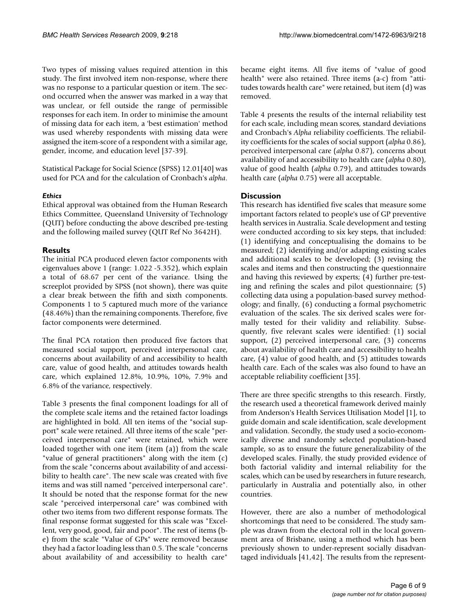Two types of missing values required attention in this study. The first involved item non-response, where there was no response to a particular question or item. The second occurred when the answer was marked in a way that was unclear, or fell outside the range of permissible responses for each item. In order to minimise the amount of missing data for each item, a 'best estimation' method was used whereby respondents with missing data were assigned the item-score of a respondent with a similar age, gender, income, and education level [[37](#page-8-20)[-39](#page-8-21)].

Statistical Package for Social Science (SPSS) 12.01[\[40\]](#page-8-22) was used for PCA and for the calculation of Cronbach's *alpha*.

## *Ethics*

Ethical approval was obtained from the Human Research Ethics Committee, Queensland University of Technology (QUT) before conducting the above described pre-testing and the following mailed survey (QUT Ref No 3642H).

## **Results**

The initial PCA produced eleven factor components with eigenvalues above 1 (range: 1.022 -5.352), which explain a total of 68.67 per cent of the variance. Using the screeplot provided by SPSS (not shown), there was quite a clear break between the fifth and sixth components. Components 1 to 5 captured much more of the variance (48.46%) than the remaining components. Therefore, five factor components were determined.

The final PCA rotation then produced five factors that measured social support, perceived interpersonal care, concerns about availability of and accessibility to health care, value of good health, and attitudes towards health care, which explained 12.8%, 10.9%, 10%, 7.9% and 6.8% of the variance, respectively.

Table [3](#page-6-0) presents the final component loadings for all of the complete scale items and the retained factor loadings are highlighted in bold. All ten items of the "social support" scale were retained. All three items of the scale "perceived interpersonal care" were retained, which were loaded together with one item (item (a)) from the scale "value of general practitioners" along with the item (c) from the scale "concerns about availability of and accessibility to health care". The new scale was created with five items and was still named "perceived interpersonal care". It should be noted that the response format for the new scale "perceived interpersonal care" was combined with other two items from two different response formats. The final response format suggested for this scale was "Excellent, very good, good, fair and poor". The rest of items (be) from the scale "Value of GPs" were removed because they had a factor loading less than 0.5. The scale "concerns about availability of and accessibility to health care"

became eight items. All five items of "value of good health" were also retained. Three items (a-c) from "attitudes towards health care" were retained, but item (d) was removed.

Table [4](#page-7-9) presents the results of the internal reliability test for each scale, including mean scores, standard deviations and Cronbach's *Alpha* reliability coefficients. The reliability coefficients for the scales of social support (*alpha* 0.86), perceived interpersonal care (*alpha* 0.87), concerns about availability of and accessibility to health care (*alpha* 0.80), value of good health (*alpha* 0.79), and attitudes towards health care (*alpha* 0.75) were all acceptable.

## **Discussion**

This research has identified five scales that measure some important factors related to people's use of GP preventive health services in Australia. Scale development and testing were conducted according to six key steps, that included: (1) identifying and conceptualising the domains to be measured; (2) identifying and/or adapting existing scales and additional scales to be developed; (3) revising the scales and items and then constructing the questionnaire and having this reviewed by experts; (4) further pre-testing and refining the scales and pilot questionnaire; (5) collecting data using a population-based survey methodology; and finally, (6) conducting a formal psychometric evaluation of the scales. The six derived scales were formally tested for their validity and reliability. Subsequently, five relevant scales were identified: (1) social support, (2) perceived interpersonal care, (3) concerns about availability of health care and accessibility to health care, (4) value of good health, and (5) attitudes towards health care. Each of the scales was also found to have an acceptable reliability coefficient [[35\]](#page-8-18).

There are three specific strengths to this research. Firstly, the research used a theoretical framework derived mainly from Anderson's Health Services Utilisation Model [[1](#page-7-0)], to guide domain and scale identification, scale development and validation. Secondly, the study used a socio-economically diverse and randomly selected population-based sample, so as to ensure the future generalizability of the developed scales. Finally, the study provided evidence of both factorial validity and internal reliability for the scales, which can be used by researchers in future research, particularly in Australia and potentially also, in other countries.

However, there are also a number of methodological shortcomings that need to be considered. The study sample was drawn from the electoral roll in the local government area of Brisbane, using a method which has been previously shown to under-represent socially disadvantaged individuals [[41,](#page-8-23)[42\]](#page-8-24). The results from the represent-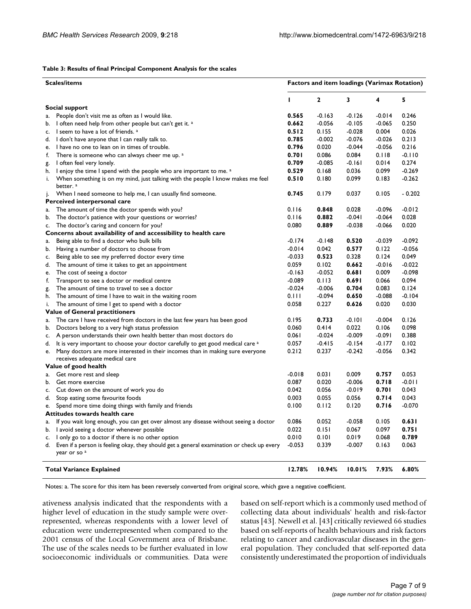#### <span id="page-6-0"></span>**Table 3: Results of final Principal Component Analysis for the scales**

|    | <b>Scales/items</b>                                                                                                  | <b>Factors and item loadings (Varimax Rotation)</b> |              |          |          |          |
|----|----------------------------------------------------------------------------------------------------------------------|-----------------------------------------------------|--------------|----------|----------|----------|
|    |                                                                                                                      | п                                                   | $\mathbf{2}$ | 3        | 4        | 5        |
|    | Social support                                                                                                       |                                                     |              |          |          |          |
| a. | People don't visit me as often as I would like.                                                                      | 0.565                                               | $-0.163$     | $-0.126$ | $-0.014$ | 0.246    |
| b. | I often need help from other people but can't get it. a                                                              | 0.662                                               | $-0.056$     | $-0.105$ | $-0.065$ | 0.250    |
| c. | I seem to have a lot of friends. a                                                                                   | 0.512                                               | 0.155        | $-0.028$ | 0.004    | 0.026    |
| d. | I don't have anyone that I can really talk to.                                                                       | 0.785                                               | $-0.002$     | $-0.076$ | $-0.026$ | 0.213    |
| е. | I have no one to lean on in times of trouble.                                                                        | 0.796                                               | 0.020        | $-0.044$ | $-0.056$ | 0.216    |
| f. | There is someone who can always cheer me up. a                                                                       | 0.701                                               | 0.086        | 0.084    | 0.118    | $-0.110$ |
| g. | I often feel very lonely.                                                                                            | 0.709                                               | $-0.085$     | $-0.161$ | 0.014    | 0.274    |
| h. | I enjoy the time I spend with the people who are important to me. a                                                  | 0.529                                               | 0.168        | 0.036    | 0.099    | $-0.269$ |
| i. | When something is on my mind, just talking with the people I know makes me feel<br>better. <sup>a</sup>              | 0.510                                               | 0.180        | 0.099    | 0.183    | $-0.262$ |
| j. | When I need someone to help me, I can usually find someone.                                                          | 0.745                                               | 0.179        | 0.037    | 0.105    | $-0.202$ |
|    | Perceived interpersonal care                                                                                         |                                                     |              |          |          |          |
| a. | The amount of time the doctor spends with you?                                                                       | 0.116                                               | 0.848        | 0.028    | $-0.096$ | $-0.012$ |
| b. | The doctor's patience with your questions or worries?                                                                | 0.116                                               | 0.882        | $-0.041$ | $-0.064$ | 0.028    |
| c. | The doctor's caring and concern for you?                                                                             | 0.080                                               | 0.889        | $-0.038$ | $-0.066$ | 0.020    |
|    | Concerns about availability of and accessibility to health care                                                      |                                                     |              |          |          |          |
| a. | Being able to find a doctor who bulk bills                                                                           | $-0.174$                                            | $-0.148$     | 0.520    | $-0.039$ | $-0.092$ |
| b. | Having a number of doctors to choose from                                                                            | $-0.014$                                            | 0.042        | 0.577    | 0.122    | $-0.056$ |
| c. | Being able to see my preferred doctor every time                                                                     | $-0.033$                                            | 0.523        | 0.328    | 0.124    | 0.049    |
| d. | The amount of time it takes to get an appointment                                                                    | 0.059                                               | 0.102        | 0.662    | $-0.016$ | $-0.022$ |
| e. | The cost of seeing a doctor                                                                                          | $-0.163$                                            | $-0.052$     | 0.681    | 0.009    | $-0.098$ |
| f. | Transport to see a doctor or medical centre                                                                          | $-0.089$                                            | 0.113        | 0.691    | 0.066    | 0.094    |
| g. | The amount of time to travel to see a doctor                                                                         | $-0.024$                                            | $-0.006$     | 0.704    | 0.083    | 0.124    |
| h. | The amount of time I have to wait in the waiting room                                                                | 0.111                                               | $-0.094$     | 0.650    | $-0.088$ | $-0.104$ |
| i. | The amount of time I get to spend with a doctor                                                                      | 0.058                                               | 0.227        | 0.626    | 0.020    | 0.030    |
|    | <b>Value of General practitioners</b>                                                                                |                                                     |              |          |          |          |
| a. | The care I have received from doctors in the last few years has been good                                            | 0.195                                               | 0.733        | $-0.101$ | $-0.004$ | 0.126    |
| b. | Doctors belong to a very high status profession                                                                      | 0.060                                               | 0.414        | 0.022    | 0.106    | 0.098    |
| c. | A person understands their own health better than most doctors do                                                    | 0.061                                               | $-0.024$     | $-0.009$ | $-0.091$ | 0.388    |
| d. | It is very important to choose your doctor carefully to get good medical care a                                      | 0.057                                               | $-0.415$     | $-0.154$ | $-0.177$ | 0.102    |
| е. | Many doctors are more interested in their incomes than in making sure everyone                                       | 0.212                                               | 0.237        | $-0.242$ | $-0.056$ | 0.342    |
|    | receives adequate medical care                                                                                       |                                                     |              |          |          |          |
|    | Value of good health                                                                                                 |                                                     |              |          |          |          |
| a. | Get more rest and sleep                                                                                              | $-0.018$                                            | 0.031        | 0.009    | 0.757    | 0.053    |
|    | b. Get more exercise                                                                                                 | 0.087                                               | 0.020        | $-0.006$ | 0.718    | $-0.011$ |
| c. | Cut down on the amount of work you do                                                                                | 0.042                                               | 0.056        | $-0.019$ | 0.701    | 0.043    |
| d. | Stop eating some favourite foods                                                                                     | 0.003                                               | 0.055        | 0.056    | 0.714    | 0.043    |
| e. | Spend more time doing things with family and friends                                                                 | 0.100                                               | 0.112        | 0.120    | 0.716    | $-0.070$ |
|    | Attitudes towards health care                                                                                        |                                                     |              |          |          |          |
| a. | If you wait long enough, you can get over almost any disease without seeing a doctor                                 | 0.086                                               | 0.052        | $-0.058$ | 0.105    | 0.631    |
| b. | I avoid seeing a doctor whenever possible                                                                            | 0.022                                               | 0.151        | 0.067    | 0.097    | 0.751    |
| c. | I only go to a doctor if there is no other option                                                                    | 0.010                                               | 0.101        | 0.019    | 0.068    | 0.789    |
| d. | Even if a person is feeling okay, they should get a general examination or check up every<br>year or so <sup>a</sup> | $-0.053$                                            | 0.339        | $-0.007$ | 0.163    | 0.063    |
|    | <b>Total Variance Explained</b>                                                                                      | 12.78%                                              | 10.94%       | 10.01%   | 7.93%    | 6.80%    |

Notes: a. The score for this item has been reversely converted from original score, which gave a negative coefficient.

ativeness analysis indicated that the respondents with a higher level of education in the study sample were overrepresented, whereas respondents with a lower level of education were underrepresented when compared to the 2001 census of the Local Government area of Brisbane. The use of the scales needs to be further evaluated in low socioeconomic individuals or communities. Data were based on self-report which is a commonly used method of collecting data about individuals' health and risk-factor status [[43](#page-8-25)]. Newell et al. [\[43](#page-8-25)] critically reviewed 66 studies based on self-reports of health behaviours and risk factors relating to cancer and cardiovascular diseases in the general population. They concluded that self-reported data consistently underestimated the proportion of individuals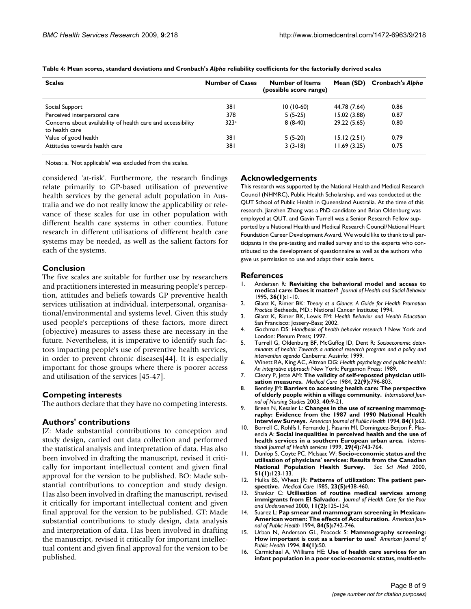| <b>Scales</b>                                                                  | <b>Number of Cases</b> | <b>Number of Items</b><br>(possible score range) | Mean (SD)    | Cronbach's Alpha |
|--------------------------------------------------------------------------------|------------------------|--------------------------------------------------|--------------|------------------|
| Social Support                                                                 | 381                    | $10(10-60)$                                      | 44.78 (7.64) | 0.86             |
| Perceived interpersonal care                                                   | 378                    | $5(5-25)$                                        | 15.02(3.88)  | 0.87             |
| Concerns about availability of health care and accessibility<br>to health care | 323a                   | $8(8-40)$                                        | 29.22 (5.65) | 0.80             |
| Value of good health                                                           | 381                    | $5(5-20)$                                        | 15.12(2.51)  | 0.79             |
| Attitudes towards health care                                                  | 38 I                   | $3(3-18)$                                        | 11.69(3.25)  | 0.75             |

<span id="page-7-9"></span>**Table 4: Mean scores, standard deviations and Cronbach's** *Alpha* **reliability coefficients for the factorially derived scales**

Notes: a. 'Not applicable' was excluded from the scales.

considered 'at-risk'. Furthermore, the research findings relate primarily to GP-based utilisation of preventive health services by the general adult population in Australia and we do not really know the applicability or relevance of these scales for use in other population with different health care systems in other counties. Future research in different utilisations of different health care systems may be needed, as well as the salient factors for each of the systems.

## **Conclusion**

The five scales are suitable for further use by researchers and practitioners interested in measuring people's perception, attitudes and beliefs towards GP preventive health services utilisation at individual, interpersonal, organisational/environmental and systems level. Given this study used people's perceptions of these factors, more direct (objective) measures to assess these are necessary in the future. Nevertheless, it is imperative to identify such factors impacting people's use of preventive health services, in order to prevent chronic diseases[\[44](#page-8-26)]. It is especially important for those groups where there is poorer access and utilisation of the services [\[45-](#page-8-27)[47\]](#page-8-28).

## **Competing interests**

The authors declare that they have no competing interests.

## **Authors' contributions**

JZ: Made substantial contributions to conception and study design, carried out data collection and performed the statistical analysis and interpretation of data. Has also been involved in drafting the manuscript, revised it critically for important intellectual content and given final approval for the version to be published. BO: Made substantial contributions to conception and study design. Has also been involved in drafting the manuscript, revised it critically for important intellectual content and given final approval for the version to be published. GT: Made substantial contributions to study design, data analysis and interpretation of data. Has been involved in drafting the manuscript, revised it critically for important intellectual content and given final approval for the version to be published.

## **Acknowledgements**

This research was supported by the National Health and Medical Research Council (NHMRC), Public Health Scholarship, and was conducted at the QUT School of Public Health in Queensland Australia. At the time of this research, Jianzhen Zhang was a PhD candidate and Brian Oldenburg was employed at QUT, and Gavin Turrell was a Senior Research Fellow supported by a National Health and Medical Research Council/National Heart Foundation Career Development Award. We would like to thank to all participants in the pre-testing and mailed survey and to the experts who contributed to the development of questionnaire as well as the authors who gave us permission to use and adapt their scale items.

#### **References**

- <span id="page-7-0"></span>1. Andersen R: **[Revisiting the behavioral model and access to](http://www.ncbi.nlm.nih.gov/entrez/query.fcgi?cmd=Retrieve&db=PubMed&dopt=Abstract&list_uids=7738325) [medical care: Does it matter?](http://www.ncbi.nlm.nih.gov/entrez/query.fcgi?cmd=Retrieve&db=PubMed&dopt=Abstract&list_uids=7738325)** *Journal of Health and Social Behavior* 1995, **36(1):**1-10.
- 2. Glanz K, Rimer BK: *Theory at a Glance: A Guide for Health Promotion Practice* Bethesda, MD.: National Cancer Institute; 1994.
- 3. Glanz K, Rimer BK, Lewis FM: *Health Behavior and Health Education* San Francisco: Jossery-Bass; 2002.
- <span id="page-7-8"></span>4. Gochman DS: *Handbook of health behavior research I* New York and London: Plenum Press; 1997.
- 5. Turrell G, Oldenburg BF, McGuffog ID, Dent R: *Socioeconomic determinants of health: Towards a national research program and a policy and intervention agenda* Canberra: Ausinfo; 1999.
- <span id="page-7-1"></span>6. Winett RA, King AC, Altman DG: *Health psychology and public healthL: An integrative approach* New York: Pergamon Press; 1989.
- <span id="page-7-2"></span>7. Cleary P, Jette AM: **[The validity of self-reposted physician utili](http://www.ncbi.nlm.nih.gov/entrez/query.fcgi?cmd=Retrieve&db=PubMed&dopt=Abstract&list_uids=6492908)[sation measures.](http://www.ncbi.nlm.nih.gov/entrez/query.fcgi?cmd=Retrieve&db=PubMed&dopt=Abstract&list_uids=6492908)** *Medical Care* 1984, **22(9):**796-803.
- <span id="page-7-3"></span>8. Bentley JM: **[Barriers to accessing health care: The perspective](http://www.ncbi.nlm.nih.gov/entrez/query.fcgi?cmd=Retrieve&db=PubMed&dopt=Abstract&list_uids=12550146) [of elderly people within a village community.](http://www.ncbi.nlm.nih.gov/entrez/query.fcgi?cmd=Retrieve&db=PubMed&dopt=Abstract&list_uids=12550146)** *International Journal of Nursing Studies* 2003, **40:**9-21.
- <span id="page-7-4"></span>9. Breen N, Kessler L: **[Changes in the use of screening mammog](http://www.ncbi.nlm.nih.gov/entrez/query.fcgi?cmd=Retrieve&db=PubMed&dopt=Abstract&list_uids=8279613)[raphy: Evidence from the 1987 and 1990 National Health](http://www.ncbi.nlm.nih.gov/entrez/query.fcgi?cmd=Retrieve&db=PubMed&dopt=Abstract&list_uids=8279613) [Interview Surveys.](http://www.ncbi.nlm.nih.gov/entrez/query.fcgi?cmd=Retrieve&db=PubMed&dopt=Abstract&list_uids=8279613)** *American Journal of Public Health* 1994, **84(1):**62.
- <span id="page-7-5"></span>Borrell C, Rohlfs I, Ferrando J, Pasarin MI, Dominguez-Berjon F, Plasencia A: **[Social inequalities in perceived health and the use of](http://www.ncbi.nlm.nih.gov/entrez/query.fcgi?cmd=Retrieve&db=PubMed&dopt=Abstract&list_uids=10615572) [health services in a southern European urban area.](http://www.ncbi.nlm.nih.gov/entrez/query.fcgi?cmd=Retrieve&db=PubMed&dopt=Abstract&list_uids=10615572)** *International Journal of Health services* 1999, **29(4):**743-764.
- 11. Dunlop S, Coyte PC, McIsaac W: **[Socio-economic status and the](http://www.ncbi.nlm.nih.gov/entrez/query.fcgi?cmd=Retrieve&db=PubMed&dopt=Abstract&list_uids=10817475) [utilisation of physicians' services: Results from the Canadian](http://www.ncbi.nlm.nih.gov/entrez/query.fcgi?cmd=Retrieve&db=PubMed&dopt=Abstract&list_uids=10817475) [National Population Health Survey.](http://www.ncbi.nlm.nih.gov/entrez/query.fcgi?cmd=Retrieve&db=PubMed&dopt=Abstract&list_uids=10817475)** *Soc Sci Med* 2000, **51(1):**123-133.
- 12. Hulka BS, Wheat JR: **[Patterns of utilization: The patient per](http://www.ncbi.nlm.nih.gov/entrez/query.fcgi?cmd=Retrieve&db=PubMed&dopt=Abstract&list_uids=4010347)[spective.](http://www.ncbi.nlm.nih.gov/entrez/query.fcgi?cmd=Retrieve&db=PubMed&dopt=Abstract&list_uids=4010347)** *Medical Care* 1985, **23(5):**438-460.
- 13. Shankar C: **[Utilisation of routine medical services among](http://www.ncbi.nlm.nih.gov/entrez/query.fcgi?cmd=Retrieve&db=PubMed&dopt=Abstract&list_uids=10793509) [immigrants from El Salvador.](http://www.ncbi.nlm.nih.gov/entrez/query.fcgi?cmd=Retrieve&db=PubMed&dopt=Abstract&list_uids=10793509)** *Journal of Health Care for the Poor and Underserved* 2000, **11(2):**125-134.
- 14. Suarez L: **[Pap smear and mammogram screening in Mexican-](http://www.ncbi.nlm.nih.gov/entrez/query.fcgi?cmd=Retrieve&db=PubMed&dopt=Abstract&list_uids=8179042)[American women: The effects of Acculturation.](http://www.ncbi.nlm.nih.gov/entrez/query.fcgi?cmd=Retrieve&db=PubMed&dopt=Abstract&list_uids=8179042)** *American Journal of Public Health* 1994, **84(5):**742-746.
- <span id="page-7-6"></span>15. Urban N, Anderson GL, Peacock S: **[Mammography screening:](http://www.ncbi.nlm.nih.gov/entrez/query.fcgi?cmd=Retrieve&db=PubMed&dopt=Abstract&list_uids=8279611) [How important is cost as a barrier to use?](http://www.ncbi.nlm.nih.gov/entrez/query.fcgi?cmd=Retrieve&db=PubMed&dopt=Abstract&list_uids=8279611)** *American Journal of Public Health* 1994, **84(1):**50.
- <span id="page-7-7"></span>16. Carmichael A, Williams HE: **[Use of health care services for an](http://www.ncbi.nlm.nih.gov/entrez/query.fcgi?cmd=Retrieve&db=PubMed&dopt=Abstract&list_uids=6673721) [infant population in a poor socio-economic status, multi-eth](http://www.ncbi.nlm.nih.gov/entrez/query.fcgi?cmd=Retrieve&db=PubMed&dopt=Abstract&list_uids=6673721)-**